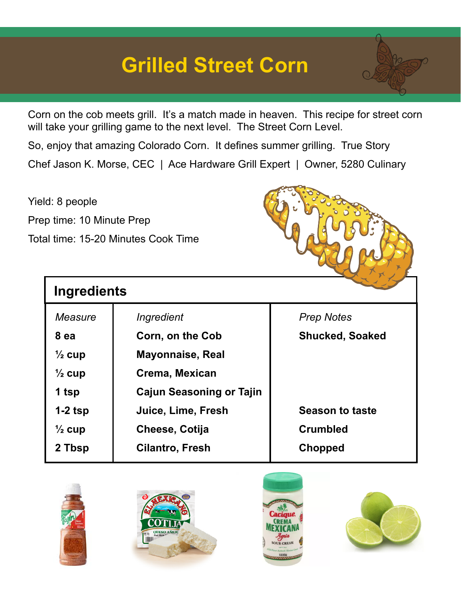## **Grilled Street Corn**



So, enjoy that amazing Colorado Corn. It defines summer grilling. True Story Chef Jason K. Morse, CEC | Ace Hardware Grill Expert | Owner, 5280 Culinary

Yield: 8 people Prep time: 10 Minute Prep Total time: 15-20 Minutes Cook Time

**Ingredients**



| Measure           | Ingredient                      | <b>Prep Notes</b>      |
|-------------------|---------------------------------|------------------------|
| 8 ea              | Corn, on the Cob                | <b>Shucked, Soaked</b> |
| $\frac{1}{2}$ cup | <b>Mayonnaise, Real</b>         |                        |
| $\frac{1}{2}$ cup | Crema, Mexican                  |                        |
| 1 tsp             | <b>Cajun Seasoning or Tajin</b> |                        |
| $1-2$ tsp         | Juice, Lime, Fresh              | <b>Season to taste</b> |
| $\frac{1}{2}$ cup | Cheese, Cotija                  | <b>Crumbled</b>        |
| 2 Tbsp            | <b>Cilantro, Fresh</b>          | Chopped                |
|                   |                                 |                        |